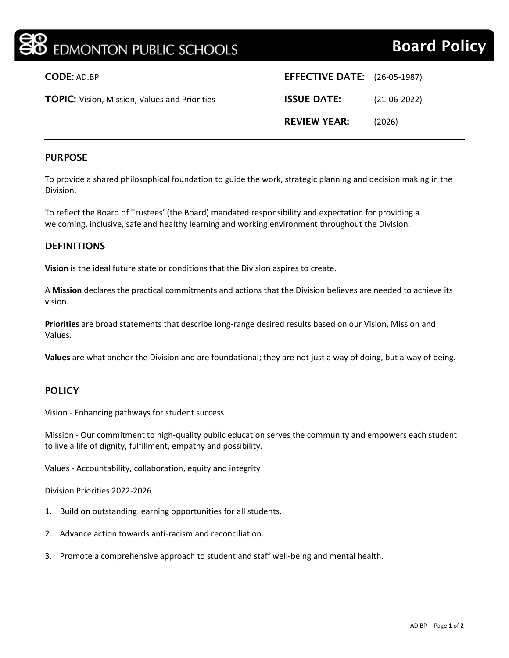| <b>BO</b> EDMONTON PUBLIC SCHOOLS                    |                                     | <b>Board Policy</b> |
|------------------------------------------------------|-------------------------------------|---------------------|
| <b>CODE: AD.BP</b>                                   | <b>EFFECTIVE DATE:</b> (26-05-1987) |                     |
| <b>TOPIC:</b> Vision, Mission, Values and Priorities | <b>ISSUE DATE:</b>                  | $(21-06-2022)$      |
|                                                      | <b>REVIEW YEAR:</b>                 | (2026)              |
|                                                      |                                     |                     |

#### PURPOSE

To provide a shared philosophical foundation to guide the work, strategic planning and decision making in the Division.

To reflect the Board of Trustees' (the Board) mandated responsibility and expectation for providing a welcoming, inclusive, safe and healthy learning and working environment throughout the Division.

#### **DEFINITIONS**

**Vision** is the ideal future state or conditions that the Division aspires to create.

A **Mission** declares the practical commitments and actions that the Division believes are needed to achieve its vision.

**Priorities** are broad statements that describe long-range desired results based on our Vision, Mission and Values.

**Values** are what anchor the Division and are foundational; they are not just a way of doing, but a way of being.

### POLICY

Vision - Enhancing pathways for student success

Mission - Our commitment to high-quality public education serves the community and empowers each student to live a life of dignity, fulfillment, empathy and possibility.

Values - Accountability, collaboration, equity and integrity

Division Priorities 2022-2026

- 1. Build on outstanding learning opportunities for all students.
- 2. Advance action towards anti-racism and reconciliation.
- 3. Promote a comprehensive approach to student and staff well-being and mental health.